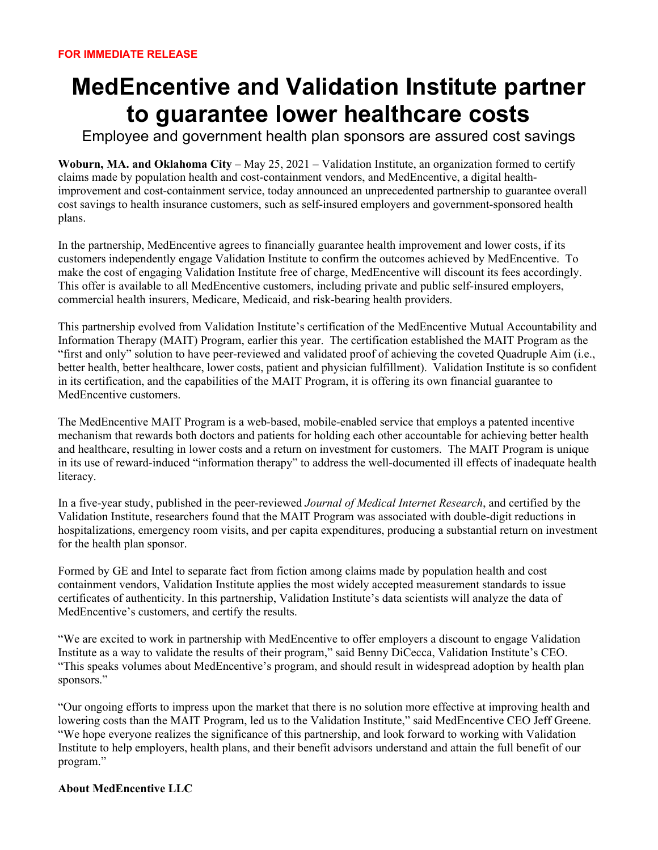## **MedEncentive and Validation Institute partner to guarantee lower healthcare costs**

Employee and government health plan sponsors are assured cost savings

**Woburn, MA. and Oklahoma City** – May 25, 2021 – Validation Institute, an organization formed to certify claims made by population health and cost-containment vendors, and MedEncentive, a digital healthimprovement and cost-containment service, today announced an unprecedented partnership to guarantee overall cost savings to health insurance customers, such as self-insured employers and government-sponsored health plans.

In the partnership, MedEncentive agrees to financially guarantee health improvement and lower costs, if its customers independently engage Validation Institute to confirm the outcomes achieved by MedEncentive. To make the cost of engaging Validation Institute free of charge, MedEncentive will discount its fees accordingly. This offer is available to all MedEncentive customers, including private and public self-insured employers, commercial health insurers, Medicare, Medicaid, and risk-bearing health providers.

This partnership evolved from Validation Institute's certification of the MedEncentive Mutual Accountability and Information Therapy (MAIT) Program, earlier this year. The certification established the MAIT Program as the "first and only" solution to have peer-reviewed and validated proof of achieving the coveted Quadruple Aim (i.e., better health, better healthcare, lower costs, patient and physician fulfillment). Validation Institute is so confident in its certification, and the capabilities of the MAIT Program, it is offering its own financial guarantee to MedEncentive customers.

The MedEncentive MAIT Program is a web-based, mobile-enabled service that employs a patented incentive mechanism that rewards both doctors and patients for holding each other accountable for achieving better health and healthcare, resulting in lower costs and a return on investment for customers. The MAIT Program is unique in its use of reward-induced "information therapy" to address the well-documented ill effects of inadequate health literacy.

In a five-year study, published in the peer-reviewed *Journal of Medical Internet Research*, and certified by the Validation Institute, researchers found that the MAIT Program was associated with double-digit reductions in hospitalizations, emergency room visits, and per capita expenditures, producing a substantial return on investment for the health plan sponsor.

Formed by GE and Intel to separate fact from fiction among claims made by population health and cost containment vendors, Validation Institute applies the most widely accepted measurement standards to issue certificates of authenticity. In this partnership, Validation Institute's data scientists will analyze the data of MedEncentive's customers, and certify the results.

"We are excited to work in partnership with MedEncentive to offer employers a discount to engage Validation Institute as a way to validate the results of their program," said Benny DiCecca, Validation Institute's CEO. "This speaks volumes about MedEncentive's program, and should result in widespread adoption by health plan sponsors."

"Our ongoing efforts to impress upon the market that there is no solution more effective at improving health and lowering costs than the MAIT Program, led us to the Validation Institute," said MedEncentive CEO Jeff Greene. "We hope everyone realizes the significance of this partnership, and look forward to working with Validation Institute to help employers, health plans, and their benefit advisors understand and attain the full benefit of our program."

## **About MedEncentive LLC**